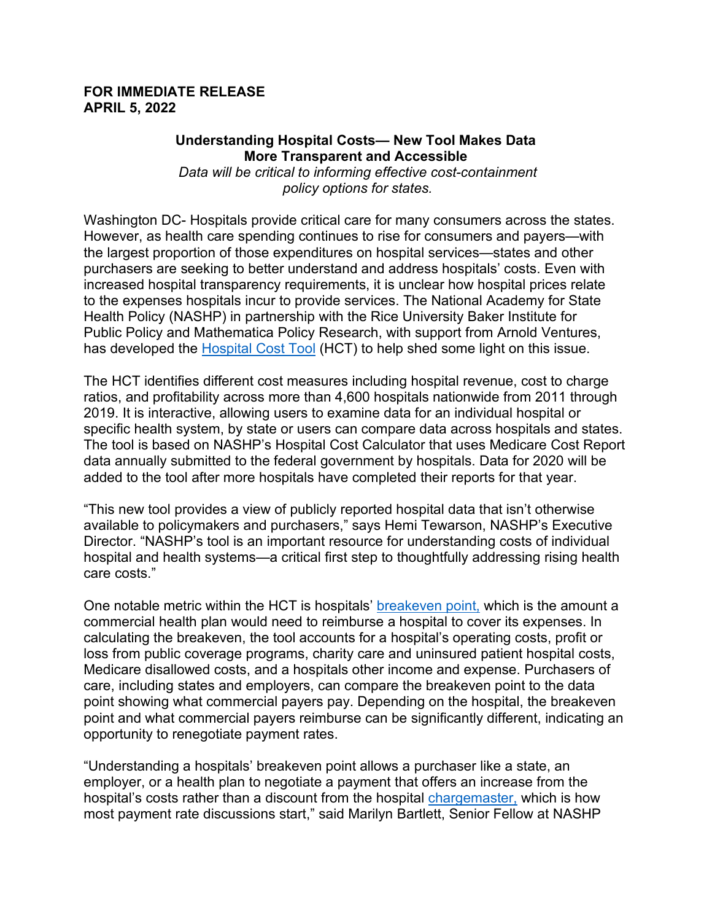## **FOR IMMEDIATE RELEASE APRIL 5, 2022**

## **Understanding Hospital Costs— New Tool Makes Data More Transparent and Accessible**

*Data will be critical to informing effective cost-containment policy options for states.*

Washington DC- Hospitals provide critical care for many consumers across the states. However, as health care spending continues to rise for consumers and payers—with the largest proportion of those expenditures on hospital services—states and other purchasers are seeking to better understand and address hospitals' costs. Even with increased hospital transparency requirements, it is unclear how hospital prices relate to the expenses hospitals incur to provide services. The National Academy for State Health Policy (NASHP) in partnership with the Rice University Baker Institute for Public Policy and Mathematica Policy Research, with support from Arnold Ventures, has developed the [Hospital Cost Tool](https://www.nashp.org/hospital-cost-tool/) (HCT) to help shed some light on this issue.

The HCT identifies different cost measures including hospital revenue, cost to charge ratios, and profitability across more than 4,600 hospitals nationwide from 2011 through 2019. It is interactive, allowing users to examine data for an individual hospital or specific health system, by state or users can compare data across hospitals and states. The tool is based on NASHP's Hospital Cost Calculator that uses Medicare Cost Report data annually submitted to the federal government by hospitals. Data for 2020 will be added to the tool after more hospitals have completed their reports for that year.

"This new tool provides a view of publicly reported hospital data that isn't otherwise available to policymakers and purchasers," says Hemi Tewarson, NASHP's Executive Director. "NASHP's tool is an important resource for understanding costs of individual hospital and health systems—a critical first step to thoughtfully addressing rising health care costs."

One notable metric within the HCT is hospitals' [breakeven point,](https://www.nashp.org/policy/health-system-costs/understanding-hospital-costs/commercial-breakeven/) which is the amount a commercial health plan would need to reimburse a hospital to cover its expenses. In calculating the breakeven, the tool accounts for a hospital's operating costs, profit or loss from public coverage programs, charity care and uninsured patient hospital costs, Medicare disallowed costs, and a hospitals other income and expense. Purchasers of care, including states and employers, can compare the breakeven point to the data point showing what commercial payers pay. Depending on the hospital, the breakeven point and what commercial payers reimburse can be significantly different, indicating an opportunity to renegotiate payment rates.

"Understanding a hospitals' breakeven point allows a purchaser like a state, an employer, or a health plan to negotiate a payment that offers an increase from the hospital's costs rather than a discount from the hospital [chargemaster,](https://www.nashp.org/can-we-please-stop-fixating-on-hospital-chargemasters/) which is how most payment rate discussions start," said Marilyn Bartlett, Senior Fellow at NASHP